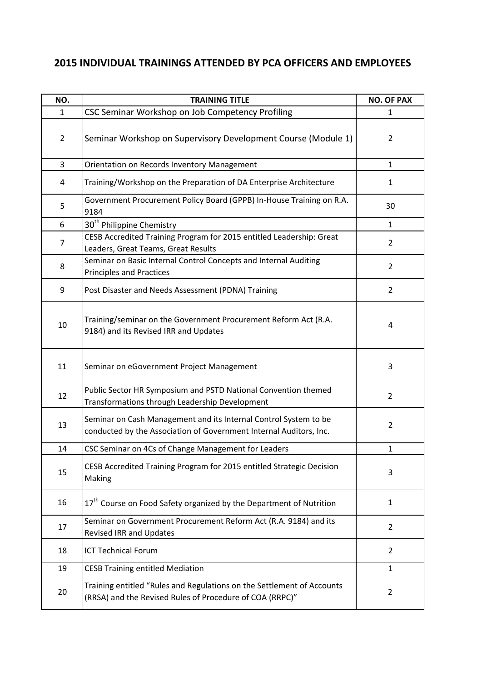## **2015 INDIVIDUAL TRAININGS ATTENDED BY PCA OFFICERS AND EMPLOYEES**

| NO.            | <b>TRAINING TITLE</b>                                                                                                                  | <b>NO. OF PAX</b> |
|----------------|----------------------------------------------------------------------------------------------------------------------------------------|-------------------|
| 1              | CSC Seminar Workshop on Job Competency Profiling                                                                                       | 1                 |
| $\overline{2}$ | Seminar Workshop on Supervisory Development Course (Module 1)                                                                          | $\overline{2}$    |
| 3              | Orientation on Records Inventory Management                                                                                            | $\mathbf{1}$      |
| 4              | Training/Workshop on the Preparation of DA Enterprise Architecture                                                                     | $\mathbf{1}$      |
| 5              | Government Procurement Policy Board (GPPB) In-House Training on R.A.<br>9184                                                           | 30                |
| 6              | 30 <sup>th</sup> Philippine Chemistry                                                                                                  | $\mathbf{1}$      |
| 7              | CESB Accredited Training Program for 2015 entitled Leadership: Great<br>Leaders, Great Teams, Great Results                            | $\overline{2}$    |
| 8              | Seminar on Basic Internal Control Concepts and Internal Auditing<br><b>Principles and Practices</b>                                    | $\overline{2}$    |
| 9              | Post Disaster and Needs Assessment (PDNA) Training                                                                                     | $\overline{2}$    |
| 10             | Training/seminar on the Government Procurement Reform Act (R.A.<br>9184) and its Revised IRR and Updates                               | 4                 |
| 11             | Seminar on eGovernment Project Management                                                                                              | 3                 |
| 12             | Public Sector HR Symposium and PSTD National Convention themed<br>Transformations through Leadership Development                       | $\overline{2}$    |
| 13             | Seminar on Cash Management and its Internal Control System to be<br>conducted by the Association of Government Internal Auditors, Inc. | $\overline{2}$    |
| 14             | CSC Seminar on 4Cs of Change Management for Leaders                                                                                    | $\mathbf{1}$      |
| 15             | CESB Accredited Training Program for 2015 entitled Strategic Decision<br>Making                                                        | 3                 |
| 16             | 17 <sup>th</sup> Course on Food Safety organized by the Department of Nutrition                                                        | $\mathbf{1}$      |
| 17             | Seminar on Government Procurement Reform Act (R.A. 9184) and its<br><b>Revised IRR and Updates</b>                                     | $\overline{2}$    |
| 18             | <b>ICT Technical Forum</b>                                                                                                             | $\overline{2}$    |
| 19             | <b>CESB Training entitled Mediation</b>                                                                                                | 1                 |
| 20             | Training entitled "Rules and Regulations on the Settlement of Accounts<br>(RRSA) and the Revised Rules of Procedure of COA (RRPC)"     | $\overline{2}$    |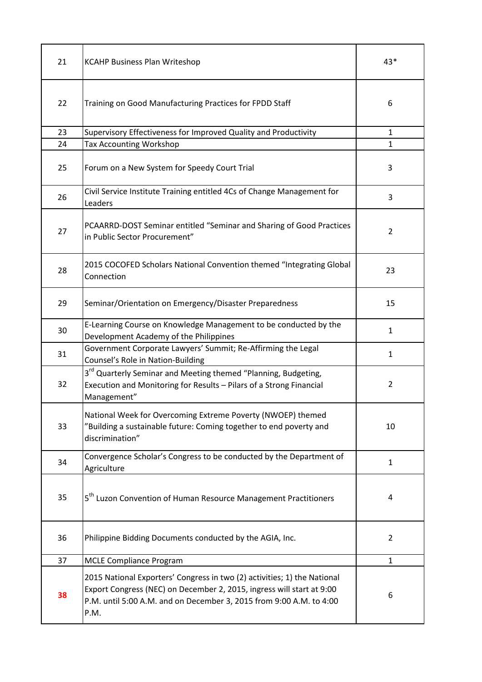| 21 | <b>KCAHP Business Plan Writeshop</b>                                                                                                                                                                                             | 43*            |
|----|----------------------------------------------------------------------------------------------------------------------------------------------------------------------------------------------------------------------------------|----------------|
| 22 | Training on Good Manufacturing Practices for FPDD Staff                                                                                                                                                                          | 6              |
| 23 | Supervisory Effectiveness for Improved Quality and Productivity                                                                                                                                                                  | $\mathbf{1}$   |
| 24 | <b>Tax Accounting Workshop</b>                                                                                                                                                                                                   | $\mathbf{1}$   |
| 25 | Forum on a New System for Speedy Court Trial                                                                                                                                                                                     | 3              |
| 26 | Civil Service Institute Training entitled 4Cs of Change Management for<br>Leaders                                                                                                                                                | 3              |
| 27 | PCAARRD-DOST Seminar entitled "Seminar and Sharing of Good Practices<br>in Public Sector Procurement"                                                                                                                            | $\overline{2}$ |
| 28 | 2015 COCOFED Scholars National Convention themed "Integrating Global<br>Connection                                                                                                                                               | 23             |
| 29 | Seminar/Orientation on Emergency/Disaster Preparedness                                                                                                                                                                           | 15             |
| 30 | E-Learning Course on Knowledge Management to be conducted by the<br>Development Academy of the Philippines                                                                                                                       | $\mathbf{1}$   |
| 31 | Government Corporate Lawyers' Summit; Re-Affirming the Legal<br>Counsel's Role in Nation-Building                                                                                                                                | $\mathbf{1}$   |
| 32 | 3 <sup>rd</sup> Quarterly Seminar and Meeting themed "Planning, Budgeting,<br>Execution and Monitoring for Results - Pilars of a Strong Financial<br>Management"                                                                 | $\overline{2}$ |
| 33 | National Week for Overcoming Extreme Poverty (NWOEP) themed<br>"Building a sustainable future: Coming together to end poverty and<br>discrimination"                                                                             | 10             |
| 34 | Convergence Scholar's Congress to be conducted by the Department of<br>Agriculture                                                                                                                                               | $\mathbf{1}$   |
| 35 | 5 <sup>th</sup> Luzon Convention of Human Resource Management Practitioners                                                                                                                                                      | 4              |
| 36 | Philippine Bidding Documents conducted by the AGIA, Inc.                                                                                                                                                                         | $\overline{2}$ |
| 37 | <b>MCLE Compliance Program</b>                                                                                                                                                                                                   | $\mathbf{1}$   |
| 38 | 2015 National Exporters' Congress in two (2) activities; 1) the National<br>Export Congress (NEC) on December 2, 2015, ingress will start at 9:00<br>P.M. until 5:00 A.M. and on December 3, 2015 from 9:00 A.M. to 4:00<br>P.M. | 6              |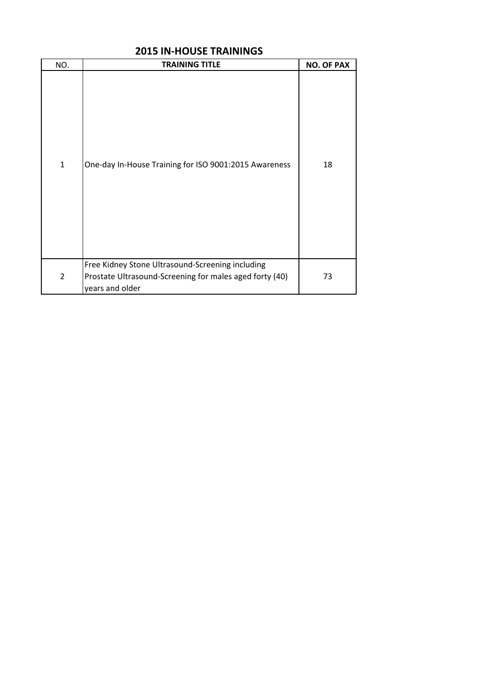| NO.            | <b>TRAINING TITLE</b>                                                                                                          | <b>NO. OF PAX</b> |
|----------------|--------------------------------------------------------------------------------------------------------------------------------|-------------------|
| $\mathbf{1}$   | One-day In-House Training for ISO 9001:2015 Awareness                                                                          | 18                |
| $\overline{2}$ | Free Kidney Stone Ultrasound-Screening including<br>Prostate Ultrasound-Screening for males aged forty (40)<br>years and older | 73                |

# **2015 IN-HOUSE TRAININGS**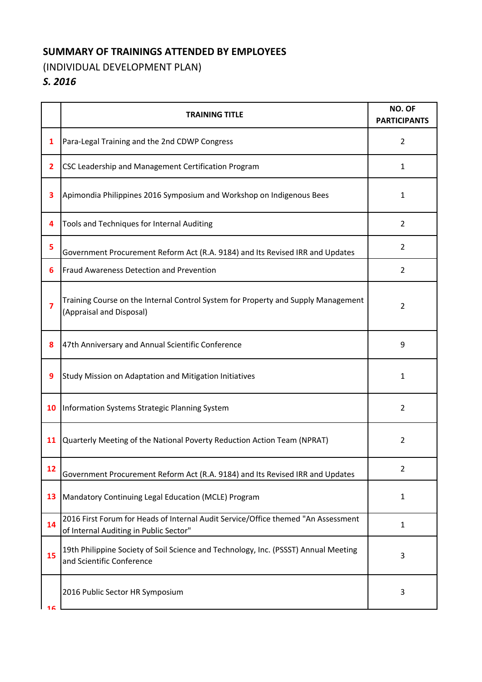### **SUMMARY OF TRAININGS ATTENDED BY EMPLOYEES**

## (INDIVIDUAL DEVELOPMENT PLAN)

# *S. 2016*

|    | <b>TRAINING TITLE</b>                                                                                                       | NO. OF<br><b>PARTICIPANTS</b> |
|----|-----------------------------------------------------------------------------------------------------------------------------|-------------------------------|
| 1  | Para-Legal Training and the 2nd CDWP Congress                                                                               | $\overline{2}$                |
| 2  | CSC Leadership and Management Certification Program                                                                         | 1                             |
| 3  | Apimondia Philippines 2016 Symposium and Workshop on Indigenous Bees                                                        | 1                             |
| 4  | Tools and Techniques for Internal Auditing                                                                                  | $\overline{2}$                |
| 5  | Government Procurement Reform Act (R.A. 9184) and Its Revised IRR and Updates                                               | $\overline{2}$                |
| 6  | Fraud Awareness Detection and Prevention                                                                                    | $\overline{2}$                |
| 7  | Training Course on the Internal Control System for Property and Supply Management<br>(Appraisal and Disposal)               | 2                             |
| 8  | 47th Anniversary and Annual Scientific Conference                                                                           | 9                             |
| 9  | Study Mission on Adaptation and Mitigation Initiatives                                                                      | 1                             |
| 10 | Information Systems Strategic Planning System                                                                               | $\overline{2}$                |
| 11 | Quarterly Meeting of the National Poverty Reduction Action Team (NPRAT)                                                     | 2                             |
| 12 | Government Procurement Reform Act (R.A. 9184) and Its Revised IRR and Updates                                               | $\overline{2}$                |
| 13 | Mandatory Continuing Legal Education (MCLE) Program                                                                         | 1                             |
| 14 | 2016 First Forum for Heads of Internal Audit Service/Office themed "An Assessment<br>of Internal Auditing in Public Sector" | 1                             |
| 15 | 19th Philippine Society of Soil Science and Technology, Inc. (PSSST) Annual Meeting<br>and Scientific Conference            | 3                             |
| 16 | 2016 Public Sector HR Symposium                                                                                             | 3                             |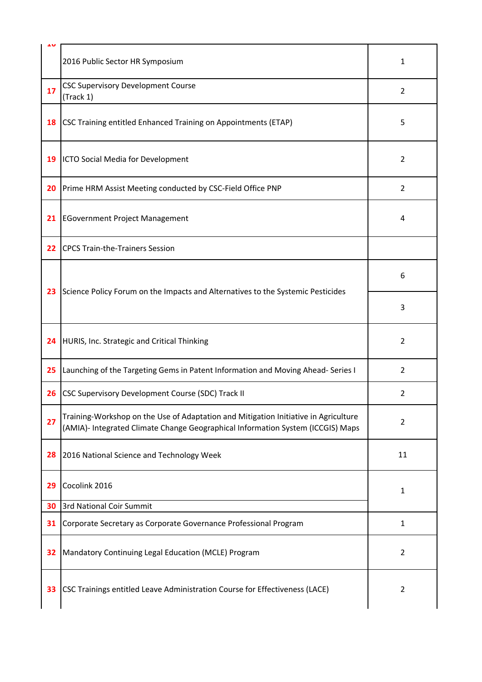|    | 2016 Public Sector HR Symposium                                                                                                                                        | 1              |
|----|------------------------------------------------------------------------------------------------------------------------------------------------------------------------|----------------|
| 17 | <b>CSC Supervisory Development Course</b><br>(Track 1)                                                                                                                 | $\overline{2}$ |
| 18 | CSC Training entitled Enhanced Training on Appointments (ETAP)                                                                                                         | 5              |
| 19 | ICTO Social Media for Development                                                                                                                                      | $\overline{2}$ |
| 20 | Prime HRM Assist Meeting conducted by CSC-Field Office PNP                                                                                                             | $\overline{2}$ |
| 21 | <b>EGovernment Project Management</b>                                                                                                                                  | $\overline{4}$ |
| 22 | CPCS Train-the-Trainers Session                                                                                                                                        |                |
| 23 | Science Policy Forum on the Impacts and Alternatives to the Systemic Pesticides                                                                                        | 6              |
|    |                                                                                                                                                                        | 3              |
| 24 | HURIS, Inc. Strategic and Critical Thinking                                                                                                                            | $\overline{2}$ |
| 25 | Launching of the Targeting Gems in Patent Information and Moving Ahead-Series I                                                                                        | $\overline{2}$ |
| 26 | CSC Supervisory Development Course (SDC) Track II                                                                                                                      | 2              |
| 27 | Training-Workshop on the Use of Adaptation and Mitigation Initiative in Agriculture<br>(AMIA)- Integrated Climate Change Geographical Information System (ICCGIS) Maps | $\overline{2}$ |
| 28 | 2016 National Science and Technology Week                                                                                                                              | 11             |
| 29 | Cocolink 2016                                                                                                                                                          | 1              |
| 30 | 3rd National Coir Summit                                                                                                                                               |                |
| 31 | Corporate Secretary as Corporate Governance Professional Program                                                                                                       | $\mathbf{1}$   |
| 32 | Mandatory Continuing Legal Education (MCLE) Program                                                                                                                    | $\overline{2}$ |
| 33 | CSC Trainings entitled Leave Administration Course for Effectiveness (LACE)                                                                                            | $\overline{2}$ |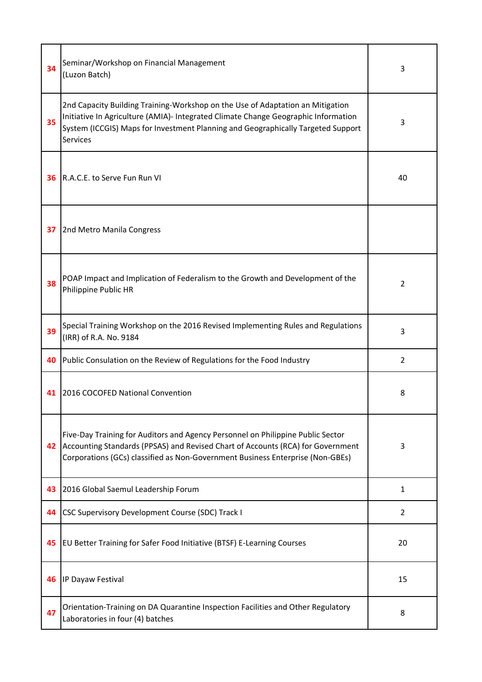| 34 | Seminar/Workshop on Financial Management<br>(Luzon Batch)                                                                                                                                                                                                                   | 3              |
|----|-----------------------------------------------------------------------------------------------------------------------------------------------------------------------------------------------------------------------------------------------------------------------------|----------------|
| 35 | 2nd Capacity Building Training-Workshop on the Use of Adaptation an Mitigation<br>Initiative In Agriculture (AMIA)- Integrated Climate Change Geographic Information<br>System (ICCGIS) Maps for Investment Planning and Geographically Targeted Support<br><b>Services</b> | 3              |
| 36 | R.A.C.E. to Serve Fun Run VI                                                                                                                                                                                                                                                | 40             |
| 37 | 2nd Metro Manila Congress                                                                                                                                                                                                                                                   |                |
| 38 | POAP Impact and Implication of Federalism to the Growth and Development of the<br>Philippine Public HR                                                                                                                                                                      | $\overline{2}$ |
| 39 | Special Training Workshop on the 2016 Revised Implementing Rules and Regulations<br>(IRR) of R.A. No. 9184                                                                                                                                                                  | 3              |
| 40 | Public Consulation on the Review of Regulations for the Food Industry                                                                                                                                                                                                       | $\overline{2}$ |
| 41 | 2016 COCOFED National Convention                                                                                                                                                                                                                                            | 8              |
| 42 | Five-Day Training for Auditors and Agency Personnel on Philippine Public Sector<br>Accounting Standards (PPSAS) and Revised Chart of Accounts (RCA) for Government<br>Corporations (GCs) classified as Non-Government Business Enterprise (Non-GBEs)                        | 3              |
| 43 | 2016 Global Saemul Leadership Forum                                                                                                                                                                                                                                         | $\mathbf{1}$   |
| 44 | <b>CSC Supervisory Development Course (SDC) Track I</b>                                                                                                                                                                                                                     | $\overline{2}$ |
| 45 | <b>EU Better Training for Safer Food Initiative (BTSF) E-Learning Courses</b>                                                                                                                                                                                               | 20             |
| 46 | IP Dayaw Festival                                                                                                                                                                                                                                                           | 15             |
| 47 | Orientation-Training on DA Quarantine Inspection Facilities and Other Regulatory<br>Laboratories in four (4) batches                                                                                                                                                        | 8              |